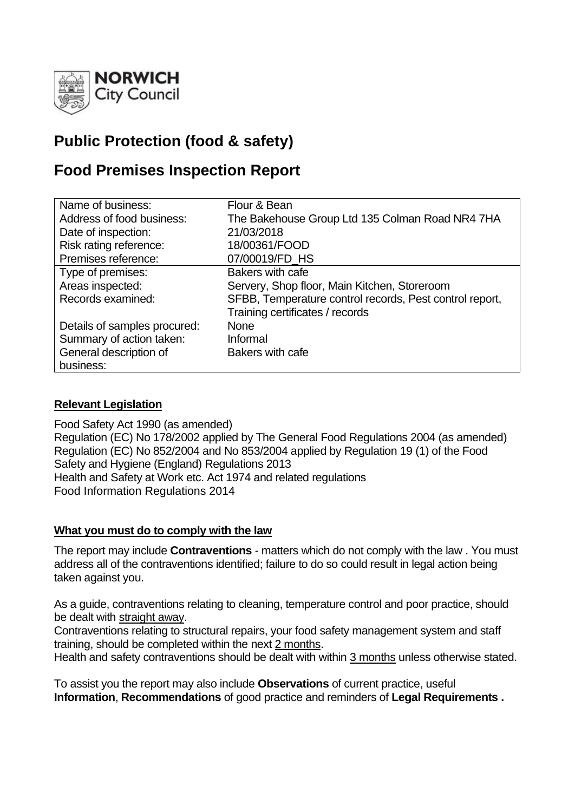

# **Public Protection (food & safety)**

## **Food Premises Inspection Report**

| Name of business:            | Flour & Bean                                            |  |  |
|------------------------------|---------------------------------------------------------|--|--|
| Address of food business:    | The Bakehouse Group Ltd 135 Colman Road NR4 7HA         |  |  |
| Date of inspection:          | 21/03/2018                                              |  |  |
| Risk rating reference:       | 18/00361/FOOD                                           |  |  |
| Premises reference:          | 07/00019/FD_HS                                          |  |  |
| Type of premises:            | Bakers with cafe                                        |  |  |
| Areas inspected:             | Servery, Shop floor, Main Kitchen, Storeroom            |  |  |
| Records examined:            | SFBB, Temperature control records, Pest control report, |  |  |
|                              | Training certificates / records                         |  |  |
| Details of samples procured: | <b>None</b>                                             |  |  |
| Summary of action taken:     | Informal                                                |  |  |
| General description of       | Bakers with cafe                                        |  |  |
| business:                    |                                                         |  |  |

#### **Relevant Legislation**

Food Safety Act 1990 (as amended) Regulation (EC) No 178/2002 applied by The General Food Regulations 2004 (as amended) Regulation (EC) No 852/2004 and No 853/2004 applied by Regulation 19 (1) of the Food Safety and Hygiene (England) Regulations 2013 Health and Safety at Work etc. Act 1974 and related regulations Food Information Regulations 2014

#### **What you must do to comply with the law**

The report may include **Contraventions** - matters which do not comply with the law . You must address all of the contraventions identified; failure to do so could result in legal action being taken against you.

As a guide, contraventions relating to cleaning, temperature control and poor practice, should be dealt with straight away.

Contraventions relating to structural repairs, your food safety management system and staff training, should be completed within the next 2 months.

Health and safety contraventions should be dealt with within 3 months unless otherwise stated.

To assist you the report may also include **Observations** of current practice, useful **Information**, **Recommendations** of good practice and reminders of **Legal Requirements .**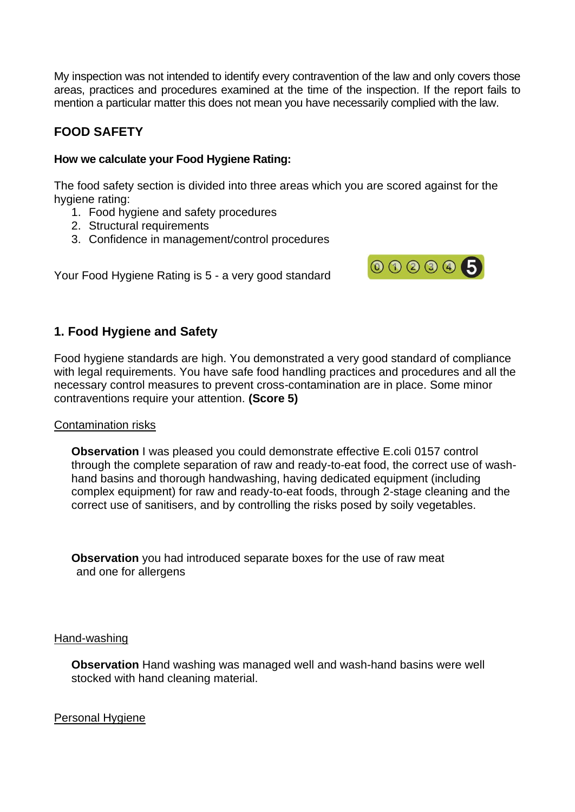My inspection was not intended to identify every contravention of the law and only covers those areas, practices and procedures examined at the time of the inspection. If the report fails to mention a particular matter this does not mean you have necessarily complied with the law.

## **FOOD SAFETY**

#### **How we calculate your Food Hygiene Rating:**

The food safety section is divided into three areas which you are scored against for the hygiene rating:

- 1. Food hygiene and safety procedures
- 2. Structural requirements
- 3. Confidence in management/control procedures

Your Food Hygiene Rating is 5 - a very good standard



### **1. Food Hygiene and Safety**

Food hygiene standards are high. You demonstrated a very good standard of compliance with legal requirements. You have safe food handling practices and procedures and all the necessary control measures to prevent cross-contamination are in place. Some minor contraventions require your attention. **(Score 5)**

#### Contamination risks

**Observation** I was pleased you could demonstrate effective E.coli 0157 control through the complete separation of raw and ready-to-eat food, the correct use of washhand basins and thorough handwashing, having dedicated equipment (including complex equipment) for raw and ready-to-eat foods, through 2-stage cleaning and the correct use of sanitisers, and by controlling the risks posed by soily vegetables.

**Observation** you had introduced separate boxes for the use of raw meat and one for allergens

#### Hand-washing

**Observation** Hand washing was managed well and wash-hand basins were well stocked with hand cleaning material.

Personal Hygiene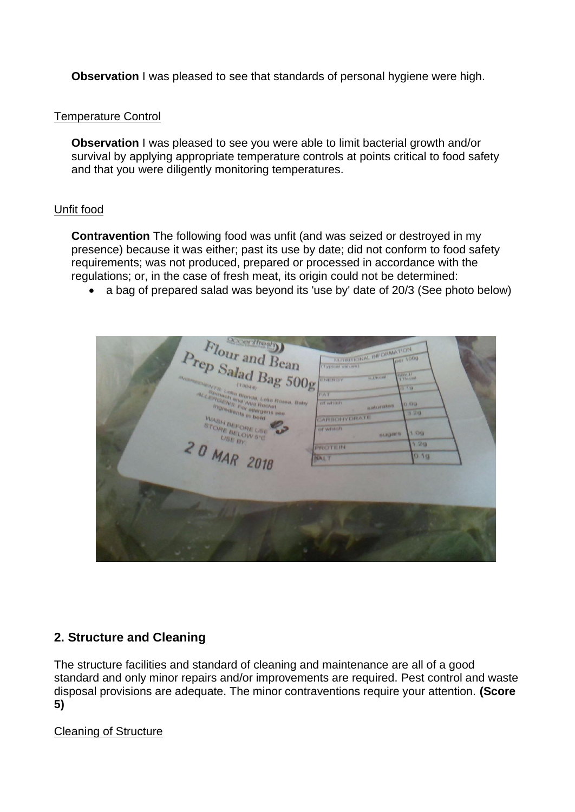**Observation** I was pleased to see that standards of personal hygiene were high.

#### Temperature Control

**Observation I** was pleased to see you were able to limit bacterial growth and/or survival by applying appropriate temperature controls at points critical to food safety and that you were diligently monitoring temperatures.

#### Unfit food

**Contravention** The following food was unfit (and was seized or destroyed in my presence) because it was either; past its use by date; did not conform to food safety requirements; was not produced, prepared or processed in accordance with the regulations; or, in the case of fresh meat, its origin could not be determined:

• a bag of prepared salad was beyond its 'use by' date of 20/3 (See photo below)

|                   | <b>Deplication</b><br>Flour and Bean<br>Prep Salad Bag 500g<br><b><i>Avenue Service Louis Bonda, Lollo Rossa, Baby</i></b><br><b>ALLENGENS For allargens see</b><br>Ingredients in bold<br>WASH BEFORE USE<br>STORE BELOW 5°C<br>USE BY | MUTRITIONAL INFORMATION<br>(Typical values)<br><b>H. JANS ON</b><br>L NE NESY<br><b>INT</b><br><b>IST WITHEITS</b><br>most or minute.<br><b>LARICHTYDRATE</b><br>of which<br><b>BLICHTS</b><br><b>PROTEIN</b> | per 100g<br><b>CONFIN</b><br>A Float and<br>12 113<br><b>OBS</b><br>3.20<br><b>T CHA</b><br>126 |
|-------------------|-----------------------------------------------------------------------------------------------------------------------------------------------------------------------------------------------------------------------------------------|---------------------------------------------------------------------------------------------------------------------------------------------------------------------------------------------------------------|-------------------------------------------------------------------------------------------------|
| <b>COMMERCIAL</b> | 20 MAR 2018                                                                                                                                                                                                                             | <b>RALT</b>                                                                                                                                                                                                   | 019                                                                                             |

#### **2. Structure and Cleaning**

The structure facilities and standard of cleaning and maintenance are all of a good standard and only minor repairs and/or improvements are required. Pest control and waste disposal provisions are adequate. The minor contraventions require your attention. **(Score 5)**

#### Cleaning of Structure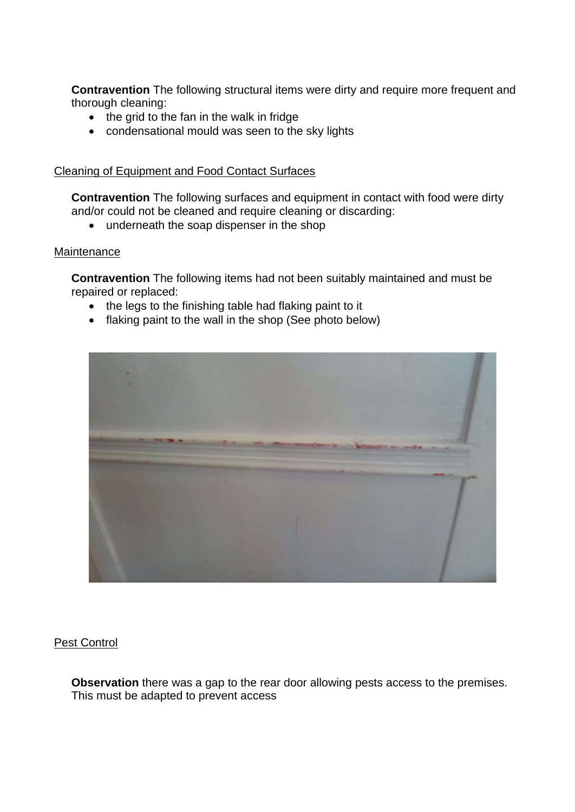**Contravention** The following structural items were dirty and require more frequent and thorough cleaning:

- the grid to the fan in the walk in fridge
- condensational mould was seen to the sky lights

#### Cleaning of Equipment and Food Contact Surfaces

**Contravention** The following surfaces and equipment in contact with food were dirty and/or could not be cleaned and require cleaning or discarding:

• underneath the soap dispenser in the shop

#### **Maintenance**

**Contravention** The following items had not been suitably maintained and must be repaired or replaced:

- the legs to the finishing table had flaking paint to it
- flaking paint to the wall in the shop (See photo below)



#### Pest Control

**Observation** there was a gap to the rear door allowing pests access to the premises. This must be adapted to prevent access